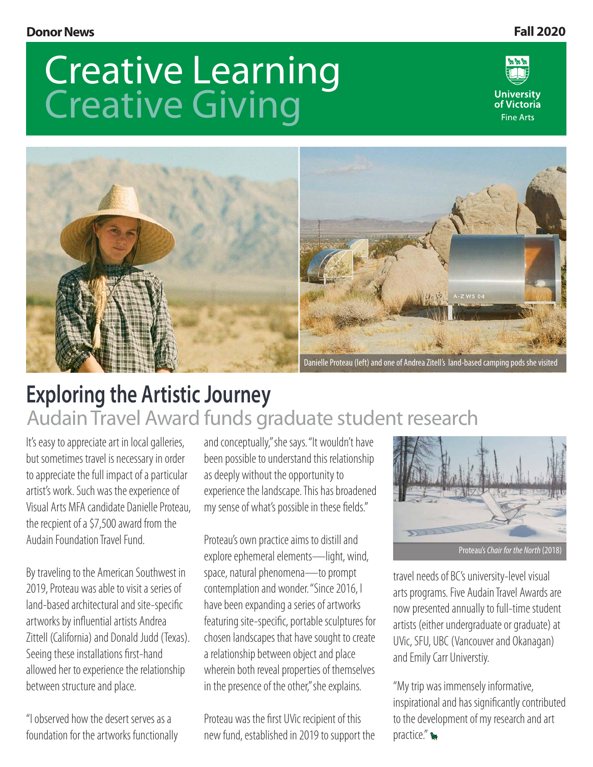# Creative Learning Creative Giving





# **Exploring the Artistic Journey** Audain Travel Award funds graduate student research

It's easy to appreciate art in local galleries, but sometimes travel is necessary in order to appreciate the full impact of a particular artist's work. Such was the experience of Visual Arts MFA candidate Danielle Proteau, the recpient of a \$7,500 award from the Audain Foundation Travel Fund.

By traveling to the American Southwest in 2019, Proteau was able to visit a series of land-based architectural and site-specific artworks by influential artists Andrea Zittell (California) and Donald Judd (Texas). Seeing these installations first-hand allowed her to experience the relationship between structure and place.

"I observed how the desert serves as a foundation for the artworks functionally and conceptually," she says. "It wouldn't have been possible to understand this relationship as deeply without the opportunity to experience the landscape. This has broadened my sense of what's possible in these fields."

Proteau's own practice aims to distill and explore ephemeral elements—light, wind, space, natural phenomena—to prompt contemplation and wonder. "Since 2016, I have been expanding a series of artworks featuring site-specific, portable sculptures for chosen landscapes that have sought to create a relationship between object and place wherein both reveal properties of themselves in the presence of the other," she explains.

Proteau was the first UVic recipient of this new fund, established in 2019 to support the



travel needs of BC's university-level visual arts programs. Five Audain Travel Awards are now presented annually to full-time student artists (either undergraduate or graduate) at UVic, SFU, UBC (Vancouver and Okanagan) and Emily Carr Universtiy.

"My trip was immensely informative, inspirational and has significantly contributed to the development of my research and art practice."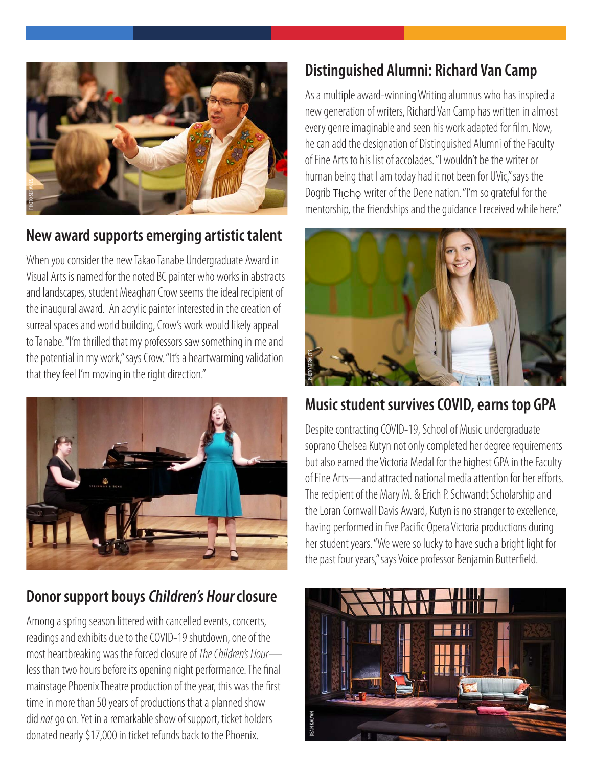

#### **New award supports emerging artistic talent**

When you consider the new Takao Tanabe Undergraduate Award in Visual Arts is named for the noted BC painter who works in abstracts and landscapes, student Meaghan Crow seems the ideal recipient of the inaugural award. An acrylic painter interested in the creation of surreal spaces and world building, Crow's work would likely appeal to Tanabe. "I'm thrilled that my professors saw something in me and the potential in my work," says Crow. "It's a heartwarming validation that they feel I'm moving in the right direction."



### **Donor support bouys Children's Hour closure**

Among a spring season littered with cancelled events, concerts, readings and exhibits due to the COVID-19 shutdown, one of the most heartbreaking was the forced closure of *The Children's Hour* less than two hours before its opening night performance. The final mainstage Phoenix Theatre production of the year, this was the first time in more than 50 years of productions that a planned show did *not* go on. Yet in a remarkable show of support, ticket holders donated nearly \$17,000 in ticket refunds back to the Phoenix.

### **Distinguished Alumni: Richard Van Camp**

As a multiple award-winning Writing alumnus who has inspired a new generation of writers, Richard Van Camp has written in almost every genre imaginable and seen his work adapted for film. Now, he can add the designation of Distinguished Alumni of the Faculty of Fine Arts to his list of accolades. "I wouldn't be the writer or human being that I am today had it not been for UVic," says the Dogrib Thcho writer of the Dene nation. "I'm so grateful for the mentorship, the friendships and the guidance I received while here."



#### **Music student survives COVID, earns top GPA**

Despite contracting COVID-19, School of Music undergraduate soprano Chelsea Kutyn not only completed her degree requirements but also earned the Victoria Medal for the highest GPA in the Faculty of Fine Arts—and attracted national media attention for her efforts. The recipient of the Mary M. & Erich P. Schwandt Scholarship and the Loran Cornwall Davis Award, Kutyn is no stranger to excellence, having performed in five Pacific Opera Victoria productions during her student years. "We were so lucky to have such a bright light for the past four years," says Voice professor Benjamin Butterfield.

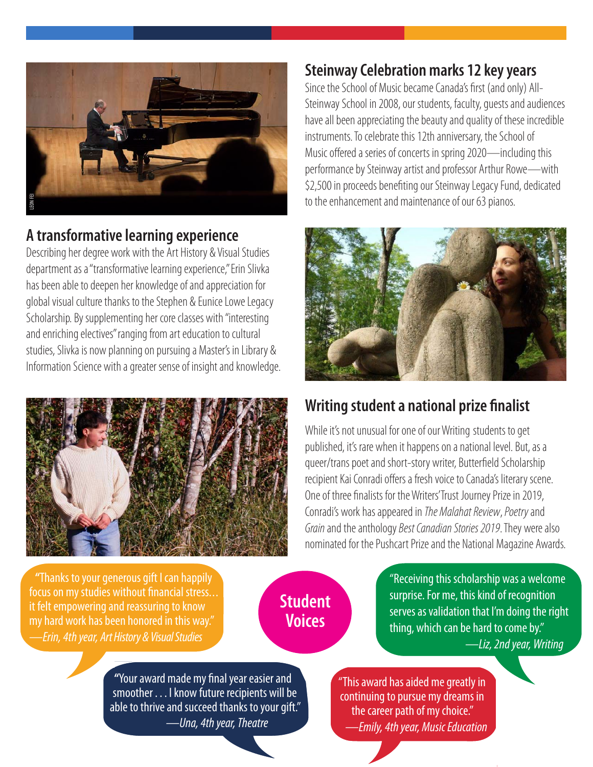

#### **A transformative learning experience**

Describing her degree work with the Art History & Visual Studies department as a "transformative learning experience," Erin Slivka has been able to deepen her knowledge of and appreciation for global visual culture thanks to the Stephen & Eunice Lowe Legacy Scholarship. By supplementing her core classes with "interesting and enriching electives" ranging from art education to cultural studies, Slivka is now planning on pursuing a Master's in Library & **A transformative learning experience**<br>Describing her degree work with the Art History & Visual Studies<br>department as a "transformative learning experience," Erin Slivka<br>has been able to deepen her knowledge of and appreci



#### **Steinway Celebration marks 12 key years**

Since the School of Music became Canada's first (and only) All-Steinway School in 2008, our students, faculty, guests and audiences have all been appreciating the beauty and quality of these incredible instruments. To celebrate this 12th anniversary, the School of Music offered a series of concerts in spring 2020—including this performance by Steinway artist and professor Arthur Rowe—with \$2,500 in proceeds benefiting our Steinway Legacy Fund, dedicated to the enhancement and maintenance of our 63 pianos.



### **Writing student a national prize finalist**

While it's not unusual for one of our Writing students to get published, it's rare when it happens on a national level. But, as a queer/trans poet and short-story writer, Butterfield Scholarship recipient Kai Conradi offers a fresh voice to Canada's literary scene. One of three finalists for the Writers' Trust Journey Prize in 2019, Conradi's work has appeared in *The Malahat Review*, *Poetry* and *Grain* and the anthology *Best Canadian Stories 2019*. They were also nominated for the Pushcart Prize and the National Magazine Awards.

 **"**Thanks to your generous gift I can happily focus on my studies without financial stress... it felt empowering and reassuring to know my hard work has been honored in this way." *—Erin, 4th year, Art History & Visual Studies*

### **Student Voices**

"Receiving this scholarship was a welcome surprise. For me, this kind of recognition serves as validation that I'm doing the right thing, which can be hard to come by."  *—Liz, 2nd year, Writing*

**"**Your award made my final year easier and smoother . . . I know future recipients will be able to thrive and succeed thanks to your gift."  *—Una, 4th year, Theatre*

"This award has aided me greatly in continuing to pursue my dreams in the career path of my choice."  *—Emily, 4th year, Music Education*